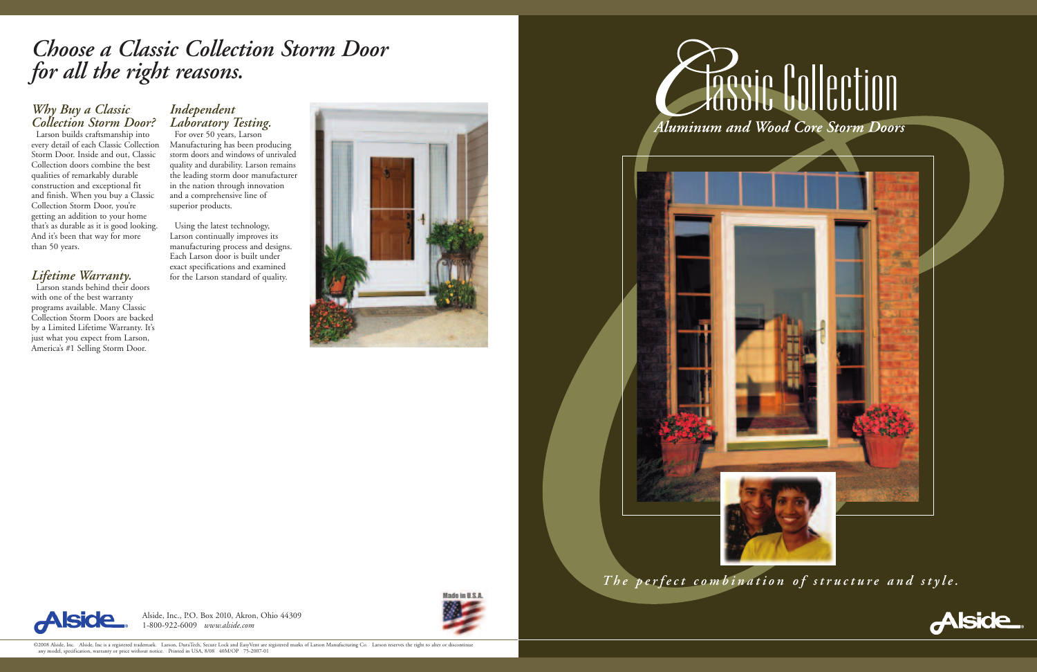Alside, Inc., P.O. Box 2010, Akron, Ohio 44309 1-800-922-6009 *www.alside.com*



# **Cassic Collection** Aluminum and Wood Core Storm Doors



### *Choose a Classic Collection Storm Door for all the right reasons.*

#### *Why Buy a Classic Collection Storm Door?*

For over 50 years, Larson Manufacturing has been producing storm doors and windows of unrivaled quality and durability. Larson remains the leading storm door manufacturer in the nation through innovation and a comprehensive line of superior products.

Larson builds craftsmanship into every detail of each Classic Collection Storm Door. Inside and out, Classic Collection doors combine the best qualities of remarkably durable construction and exceptional fit and finish. When you buy a Classic Collection Storm Door, you're getting an addition to your home that's as durable as it is good looking. And it's been that way for more than 50 years.

### *Lifetime Warranty.*

Larson stands behind their doors with one of the best warranty programs available. Many Classic Collection Storm Doors are backed by a Limited Lifetime Warranty. It's just what you expect from Larson, America's #1 Selling Storm Door.

### *Independent Laboratory Testing.*

Using the latest technology, Larson continually improves its manufacturing process and designs. Each Larson door is built under exact specifications and examined for the Larson standard of quality.







The perfect combination of structure and style.

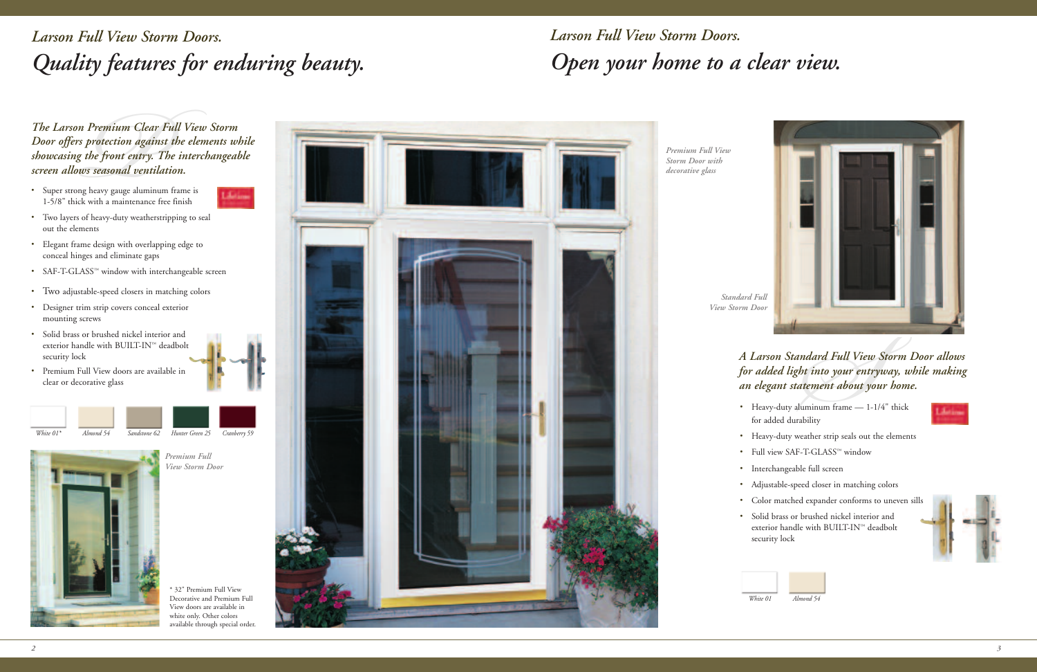*White 01\* Almond 54 Sandstone 62 Hunter Green 25 Cranberry 59*

## *Larson Full View Storm Doors. Open your home to a clear view.*



*Premium Clear 1*<br>*Protection agains:*<br>*the front entry. T*<br>*ws seasonal ventila*<br>g heavy gauge aluminun<br>k with a maintenance fre<br>of heavy-duty weatherstr<br>nents *The Larson Premium Clear Full View Storm Door offers protection against the elements while showcasing the front entry. The interchangeable screen allows seasonal ventilation.*

# *ndard Full View S*<br>*St into your entrys*<br>*St into your entrys*<br><br>uminum frame — 1-1/<br>Ability<br>eather strip seals out the<br>-T-GLASS™ window *A Larson Standard Full View Storm Door allows for added light into your entryway, while making an elegant statement about your home.*

## *Larson Full View Storm Doors. Quality features for enduring beauty.*

• Heavy-duty aluminum frame — 1-1/4" thick for added durability



*Premium Full View Storm Door with decorative glass*

*Premium Full*



*View Storm Door*

*Standard Full View Storm Door*

- 
- 
- 
- 
- 
- 
- 

- Heavy-duty weather strip seals out the elements
- Full view SAF-T-GLASS™ window
- Interchangeable full screen
- Adjustable-speed closer in matching colors
- Color matched expander conforms to uneven sills
- Solid brass or brushed nickel interior and exterior handle with BUILT-IN™ deadbolt security lock



- Super strong heavy gauge aluminum frame is 1-5/8" thick with a maintenance free finish
- **Address**
- Two layers of heavy-duty weatherstripping to seal out the elements
- Elegant frame design with overlapping edge to conceal hinges and eliminate gaps
- SAF-T-GLASS™ window with interchangeable screen
- Two adjustable-speed closers in matching colors
- Designer trim strip covers conceal exterior mounting screws
- Solid brass or brushed nickel interior and exterior handle with BUILT-IN™ deadbolt security lock
- Premium Full View doors are available in clear or decorative glass







\* 32" Premium Full View Decorative and Premium Full View doors are available in white only. Other colors available through special order.

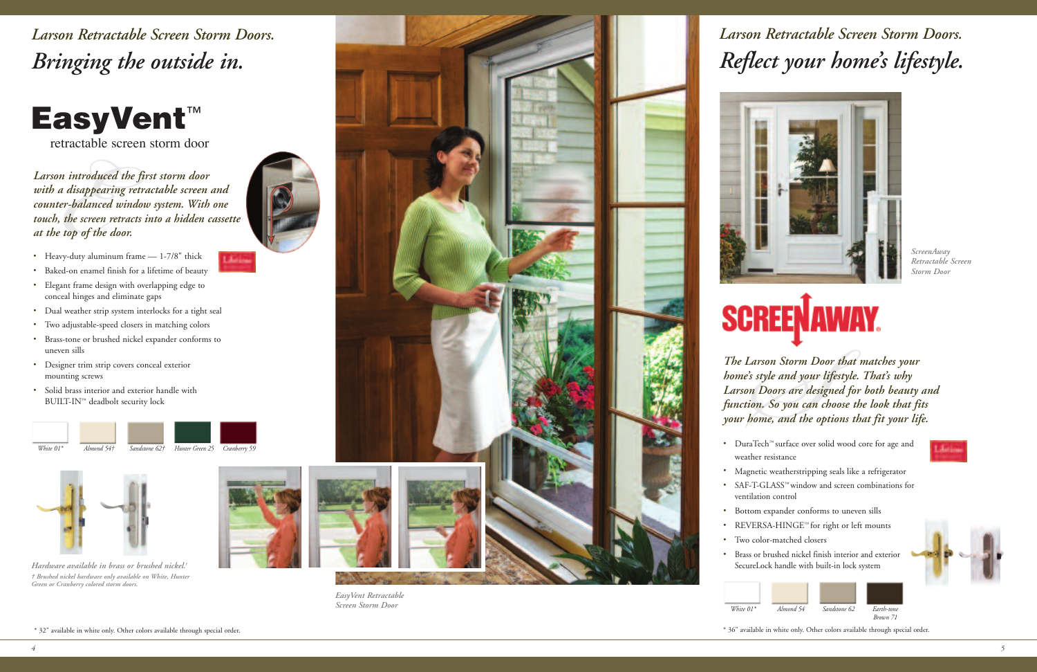Larson Retractable Screen Storm Doors. *Bringing* the outside in.

### EasyVent ™

retractable screen storm door

Firactable Stractable<br> *n introduced*<br> *a disappearin*<br> *er-balanced*<br> *the screen re*<br> *top of the d*<br>
vy-duty aluminu<br>
ed-on enamel fin<br>
ant frame design *L a rs o n in tro du c ed th e fi rs t s to r m do o r w i th a disapp ea r ing re tra c ta b le s c re e n a n d* counter-balanced window system. With one touch, the screen retracts into a hidden cassette *a t th e top of th e do o r.*



تلطانا

- Heavy-duty aluminum frame 1-7/8" thick
- Baked-on enamel finish for a lifetime of beauty
- Elegant frame design with overlapping edge to conceal hinges and eliminate gaps
- Dual weather strip system interlocks for a tight seal
- Two adjustable-speed closers in matching colors
- Brass-tone or brushed nickel expander conforms to uneven sills
- Designer trim strip covers conceal exterior mounting screws
- Solid brass interior and exterior handle with BUILT-IN™ deadbolt security lock

## Larson Retractable Screen Storm Doors. *Reflec t y o u r h o m e 's lifes ty le.*

- 
- 
- 
- 
- •
- 





*Hardware available in brass or brushed nickel.<sup>†</sup>* † Brushed nickel hardware only available on White, Hunter Green or Cranberry colored storm doors.





*Easy Ve n t Re tra c ta b le Sc re e n Sto r m D o o r*





*Wh i te 0 1 \**







\* 36" available in white only. Other colors available through special order.





*Sc re e nA way Re tra c ta b le Sc re e n Sto r m D o o r*



*Carson Storm Doo*<br>*So style and your light Doors are design*<br>*So you can chyome, and the opt*<br>aTech<sup>ra</sup> surface over soling and the opter<br>aTech<sup>ra</sup> surface over soling and the opter<br>petic weatherstripping special The Larson Storm Door that matches your home's style and your lifestyle. That's why Larson Doors are designed for both beauty and function. So you can choose the look that fits your home, and the options that fit your life.

- DuraTech™ surface over solid wood core for age and weather resistance
- Magnetic weatherstripping seals like a refrigerator
- SAF-T-GLASS<sup>™</sup> window and screen combinations for ventilation control
- Bottom expander conforms to uneven sills
- REVERSA-HINGE<sup>™</sup> for right or left mounts
	- Two color-matched closers
- Brass or brushed nickel finish interior and exterior SecureLock handle with built-in lock system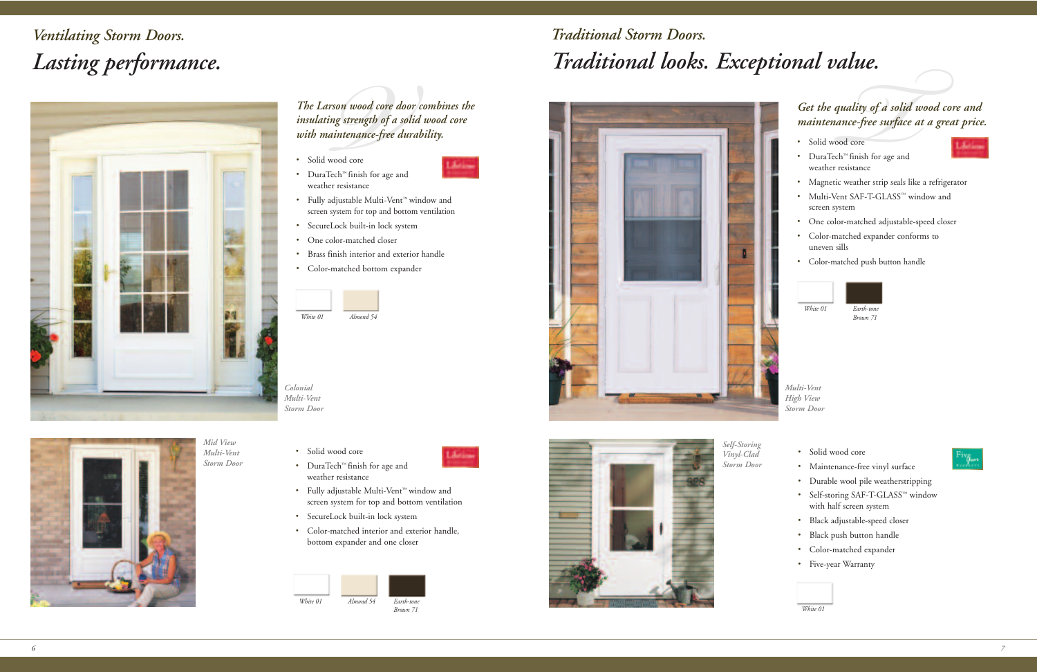## *Traditional Storm Doors. Traditional looks. Exceptional value.*





## *Ventilating Storm Doors. Lasting performance.*



# *THE.*<br> *Theory of a solid wince-free surface at<br>
od core<br>*  $h^{\infty}$  *finish for age and<br>
resistance<br>
c weather strip seals like Get the quality of a solid wood core and maintenance-free surface at a great price.*

*Self-Storing Vinyl-Clad Storm Door*

*Multi-Vent High View Storm Door*

- Solid wood core
- DuraTech™ finish for age and weather resistance



- Solid wood core
- Maintenance-free vinyl surface
- Durable wool pile weatherstripping
- Self-storing SAF-T-GLASS™ window with half screen system
- Black adjustable-speed closer
- Black push button handle
- Color-matched expander
- Five-year Warranty



**Son wood core dong strength of a s<br>
<b>***Ventify the Sintenance-free d***<br>** *Ventify*<br> *Ventify*<br> *Perming the Sepannence*<br> *Perming the Sepannence*<br> *Perming the Sepannence*<br> *Perming the Sepannence*<br> *Perming the Sepannence The Larson wood core door combines the insulating strength of a solid wood core with maintenance-free durability.*



*White 01*

| White 01 | Almond 54 | Earth-tone<br>Brown 71 |
|----------|-----------|------------------------|

- Magnetic weather strip seals like a refrigerator
- Multi-Vent SAF-T-GLASS™ window and screen system
- One color-matched adjustable-speed closer
- Color-matched expander conforms to uneven sills
- Color-matched push button handle





#### *Colonial Multi-Vent Storm Door*

• Solid wood core



**Links** 

- DuraTech™ finish for age and weather resistance
- Fully adjustable Multi-Vent ™ window and screen system for top and bottom ventilation
- SecureLock built-in lock system
- Color-matched interior and exterior handle, bottom expander and one closer
- Solid wood core
- DuraTech™ finish for age and weather resistance
- Fully adjustable Multi-Vent ™ window and screen system for top and bottom ventilation
- SecureLock built-in lock system
- One color-matched closer
- Brass finish interior and exterior handle
- Color-matched bottom expander

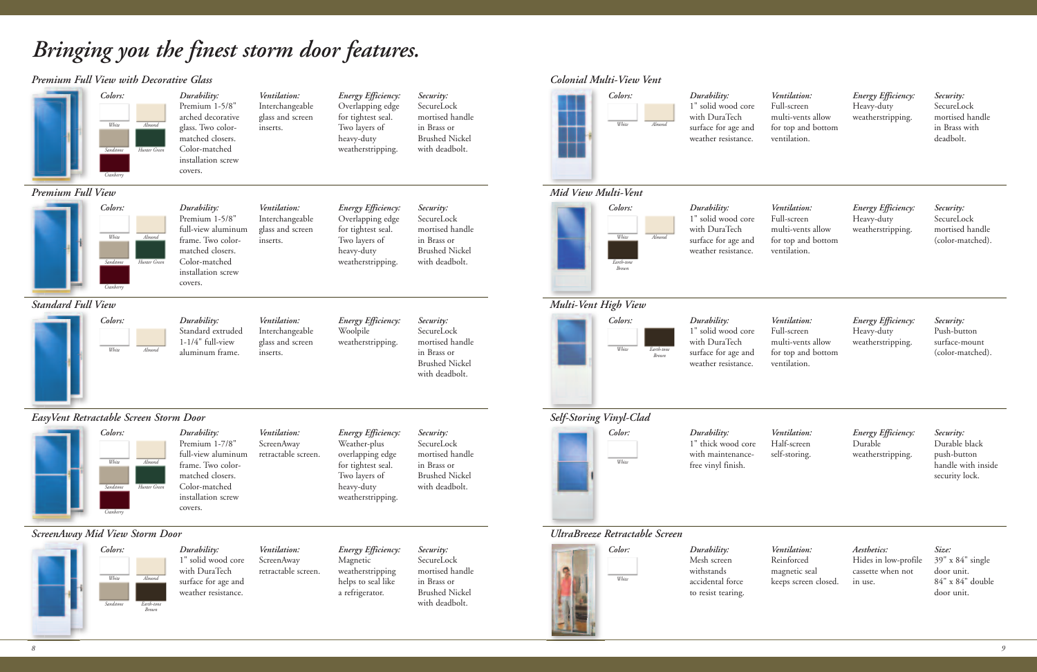*Ventilation:* Full-screen multi-vents allow for top and bottom ventilation.

*Energy Efficiency:* Heavy-duty weatherstripping.

*Security:* SecureLock mortised handle (color-matched).

## *Bringing you the finest storm door features.*

#### *Premium Full View with Decorative Glass*



*Ventilation:* Full-screen multi-vents allow for top and bottom ventilation.

*Energy Efficiency:* Heavy-duty weatherstripping.

*Security:* SecureLock mortised handle in Brass with deadbolt.

*Colonial Multi-View Vent*

*Ventilation:* Full-screen multi-vents allow for top and bottom ventilation.

*Energy Efficiency:* Heavy-duty weatherstripping.

*Security:* Push-button surface-mount (color-matched).

*Ventilation:* Half-screen self-storing.

*Energy Efficiency:* Durable weatherstripping.

*Security:* Durable black push-button handle with inside security lock.

*Ventilation:* Reinforced magnetic seal keeps screen closed. *Aesthetics:* Hides in low-profile cassette when not in use.

*Size:* 39" x 84" single door unit. 84" x 84" double door unit.